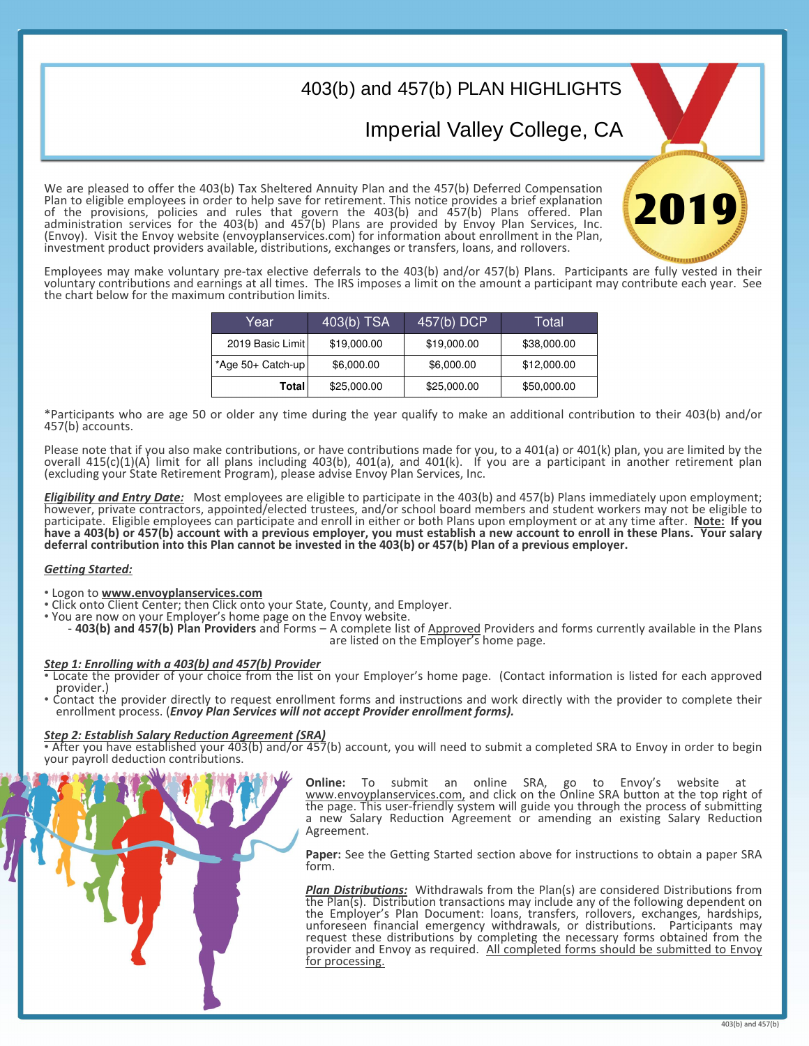## 403(b) and 457(b) PLAN HIGHLIGHTS

Imperial Valley College, CA

201

We are pleased to offer the 403(b) Tax Sheltered Annuity Plan and the 457(b) Deferred Compensation Plan to eligible employees in order to help save for retirement. This notice provides a brief explanation of the provisions, policies and rules that govern the 403(b) and 457(b) Plans offered. Plan administration services for the 403(b) and 457(b) Plans are provided by Envoy Plan Services, Inc. (Envoy). Visit the Envoy website (envoyplanservices.com) for information about enrollment in the Plan, investment product providers available, distributions, exchanges or transfers, loans, and rollovers.

Employees may make voluntary pre-tax elective deferrals to the 403(b) and/or 457(b) Plans. Participants are fully vested in their voluntary contributions and earnings at all times. The IRS imposes a limit on the amount a participant may contribute each year. See the chart below for the maximum contribution limits.

| Year                 | $403(b)$ TSA | 457(b) DCP  | Total       |
|----------------------|--------------|-------------|-------------|
| 2019 Basic Limit     | \$19,000.00  | \$19,000.00 | \$38,000.00 |
| $*$ Age 50+ Catch-up | \$6,000.00   | \$6,000.00  | \$12,000.00 |
| Total                | \$25,000.00  | \$25,000.00 | \$50,000.00 |

\*Participants who are age 50 or older any time during the year qualify to make an additional contribution to their 403(b) and/or 457(b) accounts.

Please note that if you also make contributions, or have contributions made for you, to a 401(a) or 401(k) plan, you are limited by the overall 415(c)(1)(A) limit for all plans including 403(b), 401(a), and 401(k). If you are a participant in another retirement plan (excluding your State Retirement Program), please advise Envoy Plan Services, Inc.

*Eligibility and Entry Date:* Most employees are eligible to participate in the 403(b) and 457(b) Plans immediately upon employment; however, private contractors, appointed/elected trustees, and/or school board members and student workers may not be eligible to participate. Eligible employees can participate and enroll in either or both Plans upon employment or at any time after. **Note: If you have a 403(b) or 457(b) account with a previous employer, you must establish a new account to enroll in these Plans. Your salary deferral contribution into this Plan cannot be invested in the 403(b) or 457(b) Plan of a previous employer.**

## *Getting Started:*

• Logon to *www.envoyplanservices.com*<br>• Click onto Client Center; then Click onto your State, County, and Employer.<br>• You are now on your Employer's home page on the Envoy website.

- 403(b) and 457(b) Plan Providers and Forms – A complete list of Approved Providers and forms currently available in the Plans are listed on the Employer's home page.

## *Step 1: Enrolling with a 403(b) and 457(b) Provider*

- Locate the provider of your choice from the list on your Employer's home page. (Contact information is listed for each approved provider.)
- Contact the provider directly to request enrollment forms and instructions and work directly with the provider to complete their enrollment process. (*Envoy Plan Services will not accept Provider enrollment forms).*

## *Step 2: Establish Salary Reduction Agreement (SRA)*

• After you have established your 403(b) and/or 457(b) account, you will need to submit a completed SRA to Envoy in order to begin your payroll deduction contributions.

> **Online:** To submit an online SRA, go to Envoy's website at www.envoyplanservices.com, and click on the Online SRA button at the top right of the page. This user-friendly system will guide you through the process of submitting a new Salary Reduction Agreement or amending an existing Salary Reduction Agreement.

> **Paper:** See the Getting Started section above for instructions to obtain a paper SRA form.

> *Plan Distributions:* Withdrawals from the Plan(s) are considered Distributions from the Plan(s). Distribution transactions may include any of the following dependent on the Employer's Plan Document: loans, transfers, rollovers, exchanges, hardships, unforeseen financial emergency withdrawals, or distributions. Participants may request these distributions by completing the necessary forms obtained from the provider and Envoy as required. All completed forms should be submitted to Envoy for processing.